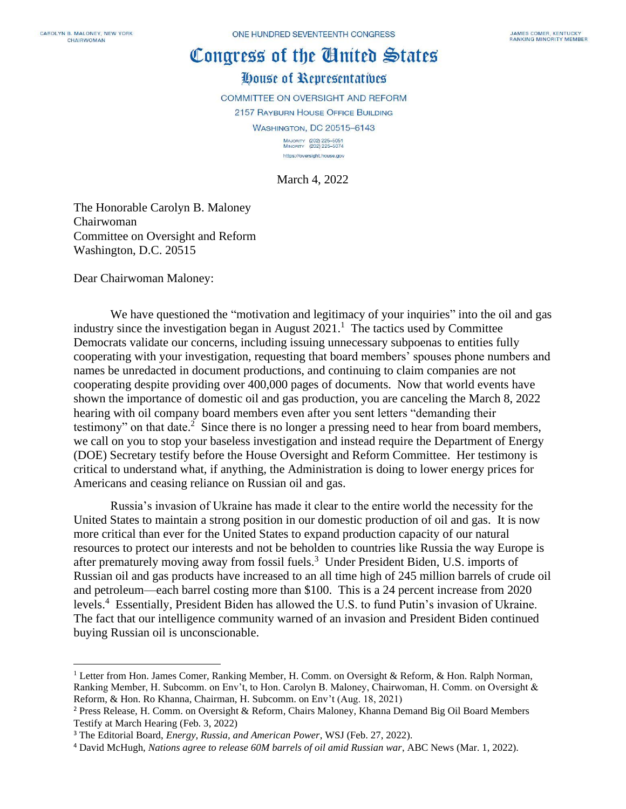## Congress of the Cinited States

## House of Representatives

**COMMITTEE ON OVERSIGHT AND REFORM** 

2157 RAYBURN HOUSE OFFICE BUILDING

**WASHINGTON, DC 20515-6143** 

MAJORITY (202) 225-5051<br>MINORITY (202) 225-5074 https://oversight.house.gov

March 4, 2022

The Honorable Carolyn B. Maloney Chairwoman Committee on Oversight and Reform Washington, D.C. 20515

Dear Chairwoman Maloney:

We have questioned the "motivation and legitimacy of your inquiries" into the oil and gas industry since the investigation began in August  $2021$ .<sup>1</sup> The tactics used by Committee Democrats validate our concerns, including issuing unnecessary subpoenas to entities fully cooperating with your investigation, requesting that board members' spouses phone numbers and names be unredacted in document productions, and continuing to claim companies are not cooperating despite providing over 400,000 pages of documents. Now that world events have shown the importance of domestic oil and gas production, you are canceling the March 8, 2022 hearing with oil company board members even after you sent letters "demanding their testimony" on that date.<sup>2</sup> Since there is no longer a pressing need to hear from board members, we call on you to stop your baseless investigation and instead require the Department of Energy (DOE) Secretary testify before the House Oversight and Reform Committee. Her testimony is critical to understand what, if anything, the Administration is doing to lower energy prices for Americans and ceasing reliance on Russian oil and gas.

Russia's invasion of Ukraine has made it clear to the entire world the necessity for the United States to maintain a strong position in our domestic production of oil and gas. It is now more critical than ever for the United States to expand production capacity of our natural resources to protect our interests and not be beholden to countries like Russia the way Europe is after prematurely moving away from fossil fuels. <sup>3</sup> Under President Biden, U.S. imports of Russian oil and gas products have increased to an all time high of 245 million barrels of crude oil and petroleum—each barrel costing more than \$100. This is a 24 percent increase from 2020 levels.<sup>4</sup> Essentially, President Biden has allowed the U.S. to fund Putin's invasion of Ukraine. The fact that our intelligence community warned of an invasion and President Biden continued buying Russian oil is unconscionable.

<sup>&</sup>lt;sup>1</sup> Letter from Hon. James Comer, Ranking Member, H. Comm. on Oversight & Reform, & Hon. Ralph Norman, Ranking Member, H. Subcomm. on Env't, to Hon. Carolyn B. Maloney, Chairwoman, H. Comm. on Oversight & Reform, & Hon. Ro Khanna, Chairman, H. Subcomm. on Env't (Aug. 18, 2021)

<sup>2</sup> Press Release, H. Comm. on Oversight & Reform, Chairs Maloney, Khanna Demand Big Oil Board Members Testify at March Hearing (Feb. 3, 2022)

<sup>3</sup> The Editorial Board, *Energy, Russia, and American Power*, WSJ (Feb. 27, 2022).

<sup>4</sup> David McHugh, *Nations agree to release 60M barrels of oil amid Russian war*, ABC News (Mar. 1, 2022).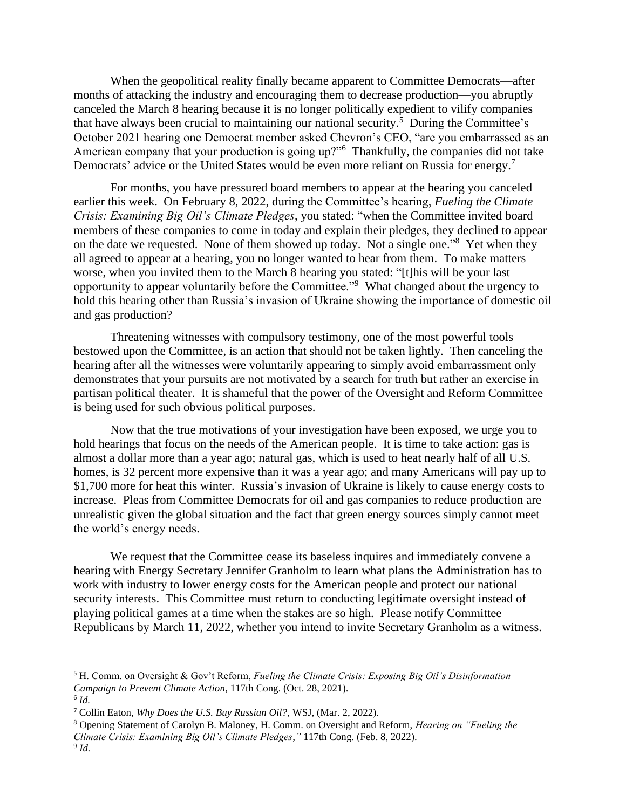When the geopolitical reality finally became apparent to Committee Democrats—after months of attacking the industry and encouraging them to decrease production—you abruptly canceled the March 8 hearing because it is no longer politically expedient to vilify companies that have always been crucial to maintaining our national security.<sup>5</sup> During the Committee's October 2021 hearing one Democrat member asked Chevron's CEO, "are you embarrassed as an American company that your production is going up?"<sup>6</sup> Thankfully, the companies did not take Democrats' advice or the United States would be even more reliant on Russia for energy.<sup>7</sup>

For months, you have pressured board members to appear at the hearing you canceled earlier this week. On February 8, 2022, during the Committee's hearing, *Fueling the Climate Crisis: Examining Big Oil's Climate Pledges*, you stated: "when the Committee invited board members of these companies to come in today and explain their pledges, they declined to appear on the date we requested. None of them showed up today. Not a single one."<sup>8</sup> Yet when they all agreed to appear at a hearing, you no longer wanted to hear from them. To make matters worse, when you invited them to the March 8 hearing you stated: "[t]his will be your last opportunity to appear voluntarily before the Committee."<sup>9</sup> What changed about the urgency to hold this hearing other than Russia's invasion of Ukraine showing the importance of domestic oil and gas production?

Threatening witnesses with compulsory testimony, one of the most powerful tools bestowed upon the Committee, is an action that should not be taken lightly. Then canceling the hearing after all the witnesses were voluntarily appearing to simply avoid embarrassment only demonstrates that your pursuits are not motivated by a search for truth but rather an exercise in partisan political theater. It is shameful that the power of the Oversight and Reform Committee is being used for such obvious political purposes.

Now that the true motivations of your investigation have been exposed, we urge you to hold hearings that focus on the needs of the American people. It is time to take action: gas is almost a dollar more than a year ago; natural gas, which is used to heat nearly half of all U.S. homes, is 32 percent more expensive than it was a year ago; and many Americans will pay up to \$1,700 more for heat this winter. Russia's invasion of Ukraine is likely to cause energy costs to increase. Pleas from Committee Democrats for oil and gas companies to reduce production are unrealistic given the global situation and the fact that green energy sources simply cannot meet the world's energy needs.

We request that the Committee cease its baseless inquires and immediately convene a hearing with Energy Secretary Jennifer Granholm to learn what plans the Administration has to work with industry to lower energy costs for the American people and protect our national security interests. This Committee must return to conducting legitimate oversight instead of playing political games at a time when the stakes are so high. Please notify Committee Republicans by March 11, 2022, whether you intend to invite Secretary Granholm as a witness.

<sup>5</sup> H. Comm. on Oversight & Gov't Reform, *Fueling the Climate Crisis: Exposing Big Oil's Disinformation Campaign to Prevent Climate Action*, 117th Cong. (Oct. 28, 2021).

<sup>6</sup> *Id.*

<sup>7</sup> Collin Eaton, *Why Does the U.S. Buy Russian Oil?*, WSJ, (Mar. 2, 2022).

<sup>8</sup> Opening Statement of Carolyn B. Maloney, H. Comm. on Oversight and Reform, *Hearing on "Fueling the Climate Crisis: Examining Big Oil's Climate Pledges*,*"* 117th Cong. (Feb. 8, 2022).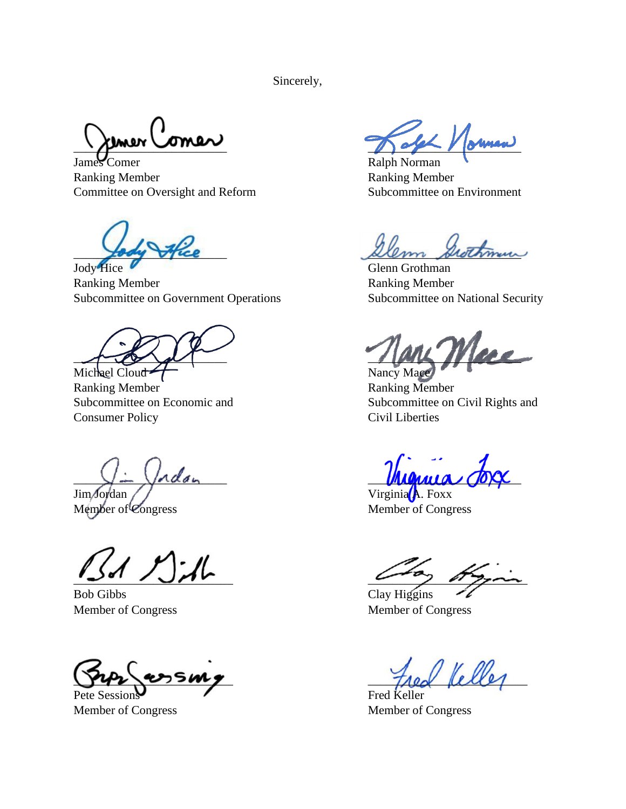Sincerely,

James Comer Ralph Norman Ranking Member **Ranking Member** Ranking Member Committee on Oversight and Reform Subcommittee on Environment

Jody Hice Glenn Grothman

Ranking Member **Ranking Member** Ranking Member Subcommittee on Government Operations Subcommittee on National Security

 $\overline{1}$ Michael Cloud T (Nancy Mace)

Ranking Member **Ranking Member** Consumer Policy Civil Liberties

Jim Jordan Virginia A. Foxx<br>
Member of Congress Member of Cong

 $\mathbb{Z}$ d Mal

Bob Gibbs Clay Higgins Member of Congress Member of Congress

Pete Sessions Fred Keller

 $\sqrt{2\pi r}$  one  $\sqrt{2\pi r}$ 

fody fice Dem Stethmun

Subcommittee on Economic and Subcommittee on Civil Rights and

 $\bigvee \perp \bigvee$ ndan  $\blacksquare$ 

Member of Congress

 $^{\prime}$  Kelle

Member of Congress Member of Congress